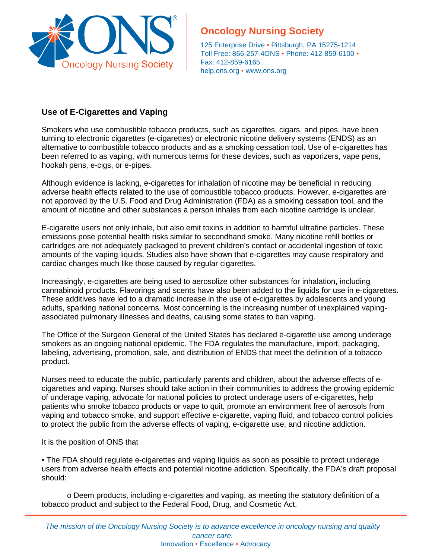

## **Oncology Nursing Society**

125 Enterprise Drive • Pittsburgh, PA 15275-1214 Toll Free: 866-257-4ONS • Phone: 412-859-6100 • Fax: 412-859-6165 help.ons.org • [www.ons.org](http://www.ons.org/)

## **Use of E-Cigarettes and Vaping**

Smokers who use combustible tobacco products, such as cigarettes, cigars, and pipes, have been turning to electronic cigarettes (e-cigarettes) or electronic nicotine delivery systems (ENDS) as an alternative to combustible tobacco products and as a smoking cessation tool. Use of e-cigarettes has been referred to as vaping, with numerous terms for these devices, such as vaporizers, vape pens, hookah pens, e-cigs, or e-pipes.

Although evidence is lacking, e-cigarettes for inhalation of nicotine may be beneficial in reducing adverse health effects related to the use of combustible tobacco products. However, e-cigarettes are not approved by the U.S. Food and Drug Administration (FDA) as a smoking cessation tool, and the amount of nicotine and other substances a person inhales from each nicotine cartridge is unclear.

E-cigarette users not only inhale, but also emit toxins in addition to harmful ultrafine particles. These emissions pose potential health risks similar to secondhand smoke. Many nicotine refill bottles or cartridges are not adequately packaged to prevent children's contact or accidental ingestion of toxic amounts of the vaping liquids. Studies also have shown that e-cigarettes may cause respiratory and cardiac changes much like those caused by regular cigarettes.

Increasingly, e-cigarettes are being used to aerosolize other substances for inhalation, including cannabinoid products. Flavorings and scents have also been added to the liquids for use in e-cigarettes. These additives have led to a dramatic increase in the use of e-cigarettes by adolescents and young adults, sparking national concerns. Most concerning is the increasing number of unexplained vapingassociated pulmonary illnesses and deaths, causing some states to ban vaping.

The Office of the Surgeon General of the United States has declared e-cigarette use among underage smokers as an ongoing national epidemic. The FDA regulates the manufacture, import, packaging, labeling, advertising, promotion, sale, and distribution of ENDS that meet the definition of a tobacco product.

Nurses need to educate the public, particularly parents and children, about the adverse effects of ecigarettes and vaping. Nurses should take action in their communities to address the growing epidemic of underage vaping, advocate for national policies to protect underage users of e-cigarettes, help patients who smoke tobacco products or vape to quit, promote an environment free of aerosols from vaping and tobacco smoke, and support effective e-cigarette, vaping fluid, and tobacco control policies to protect the public from the adverse effects of vaping, e-cigarette use, and nicotine addiction.

## It is the position of ONS that

• The FDA should regulate e-cigarettes and vaping liquids as soon as possible to protect underage users from adverse health effects and potential nicotine addiction. Specifically, the FDA's draft proposal should:

o Deem products, including e-cigarettes and vaping, as meeting the statutory definition of a tobacco product and subject to the Federal Food, Drug, and Cosmetic Act.